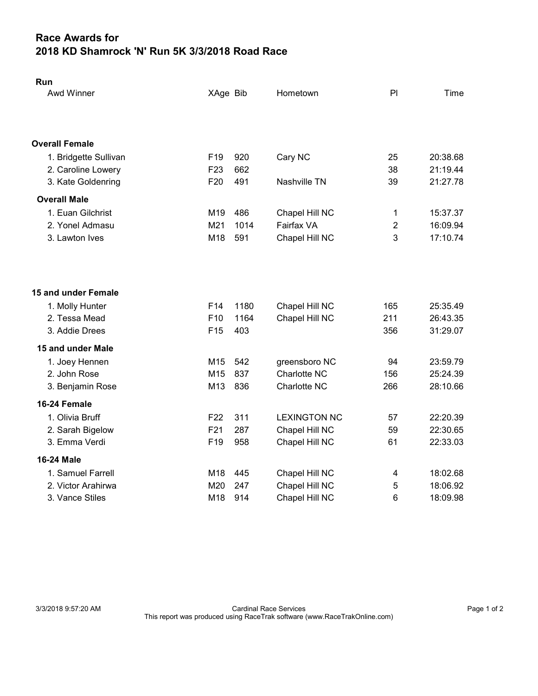## Race Awards for 2018 KD Shamrock 'N' Run 5K 3/3/2018 Road Race

| Run                   |                 |      |                     |                |          |
|-----------------------|-----------------|------|---------------------|----------------|----------|
| Awd Winner            | XAge Bib        |      | Hometown            | PI             | Time     |
|                       |                 |      |                     |                |          |
| <b>Overall Female</b> |                 |      |                     |                |          |
| 1. Bridgette Sullivan | F <sub>19</sub> | 920  | Cary NC             | 25             | 20:38.68 |
| 2. Caroline Lowery    | F <sub>23</sub> | 662  |                     | 38             | 21:19.44 |
| 3. Kate Goldenring    | F <sub>20</sub> | 491  | Nashville TN        | 39             | 21:27.78 |
| <b>Overall Male</b>   |                 |      |                     |                |          |
| 1. Euan Gilchrist     | M19             | 486  | Chapel Hill NC      | 1              | 15:37.37 |
| 2. Yonel Admasu       | M21             | 1014 | Fairfax VA          | $\overline{2}$ | 16:09.94 |
| 3. Lawton Ives        | M18             | 591  | Chapel Hill NC      | 3              | 17:10.74 |
|                       |                 |      |                     |                |          |
| 15 and under Female   |                 |      |                     |                |          |
| 1. Molly Hunter       | F14             | 1180 | Chapel Hill NC      | 165            | 25:35.49 |
| 2. Tessa Mead         | F <sub>10</sub> | 1164 | Chapel Hill NC      | 211            | 26:43.35 |
| 3. Addie Drees        | F <sub>15</sub> | 403  |                     | 356            | 31:29.07 |
| 15 and under Male     |                 |      |                     |                |          |
| 1. Joey Hennen        | M15             | 542  | greensboro NC       | 94             | 23:59.79 |
| 2. John Rose          | M <sub>15</sub> | 837  | Charlotte NC        | 156            | 25:24.39 |
| 3. Benjamin Rose      | M13             | 836  | Charlotte NC        | 266            | 28:10.66 |
| 16-24 Female          |                 |      |                     |                |          |
| 1. Olivia Bruff       | F <sub>22</sub> | 311  | <b>LEXINGTON NC</b> | 57             | 22:20.39 |
| 2. Sarah Bigelow      | F21             | 287  | Chapel Hill NC      | 59             | 22:30.65 |
| 3. Emma Verdi         | F19             | 958  | Chapel Hill NC      | 61             | 22:33.03 |
| <b>16-24 Male</b>     |                 |      |                     |                |          |
| 1. Samuel Farrell     | M18             | 445  | Chapel Hill NC      | 4              | 18:02.68 |
| 2. Victor Arahirwa    | M20             | 247  | Chapel Hill NC      | 5              | 18:06.92 |
| 3. Vance Stiles       | M18             | 914  | Chapel Hill NC      | 6              | 18:09.98 |